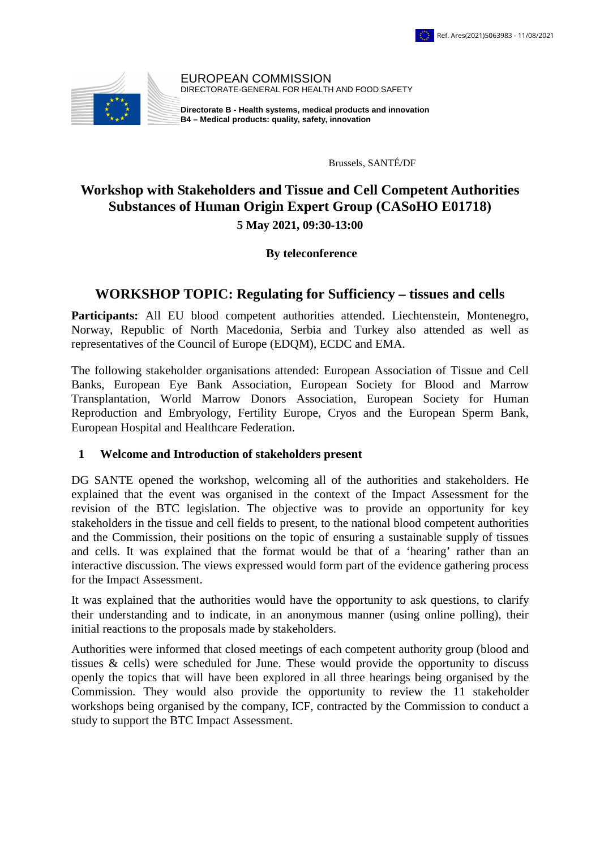

EUROPEAN COMMISSION DIRECTORATE-GENERAL FOR HEALTH AND FOOD SAFETY

**Directorate B - Health systems, medical products and innovation B4 – Medical products: quality, safety, innovation**

Brussels, SANTÉ/DF

# **Workshop with Stakeholders and Tissue and Cell Competent Authorities Substances of Human Origin Expert Group (CASoHO E01718) 5 May 2021, 09:30-13:00**

### **By teleconference**

### **WORKSHOP TOPIC: Regulating for Sufficiency – tissues and cells**

Participants: All EU blood competent authorities attended. Liechtenstein, Montenegro, Norway, Republic of North Macedonia, Serbia and Turkey also attended as well as representatives of the Council of Europe (EDQM), ECDC and EMA.

The following stakeholder organisations attended: European Association of Tissue and Cell Banks, European Eye Bank Association, European Society for Blood and Marrow Transplantation, World Marrow Donors Association, European Society for Human Reproduction and Embryology, Fertility Europe, Cryos and the European Sperm Bank, European Hospital and Healthcare Federation.

#### **1 Welcome and Introduction of stakeholders present**

DG SANTE opened the workshop, welcoming all of the authorities and stakeholders. He explained that the event was organised in the context of the Impact Assessment for the revision of the BTC legislation. The objective was to provide an opportunity for key stakeholders in the tissue and cell fields to present, to the national blood competent authorities and the Commission, their positions on the topic of ensuring a sustainable supply of tissues and cells. It was explained that the format would be that of a 'hearing' rather than an interactive discussion. The views expressed would form part of the evidence gathering process for the Impact Assessment.

It was explained that the authorities would have the opportunity to ask questions, to clarify their understanding and to indicate, in an anonymous manner (using online polling), their initial reactions to the proposals made by stakeholders.

Authorities were informed that closed meetings of each competent authority group (blood and tissues & cells) were scheduled for June. These would provide the opportunity to discuss openly the topics that will have been explored in all three hearings being organised by the Commission. They would also provide the opportunity to review the 11 stakeholder workshops being organised by the company, ICF, contracted by the Commission to conduct a study to support the BTC Impact Assessment.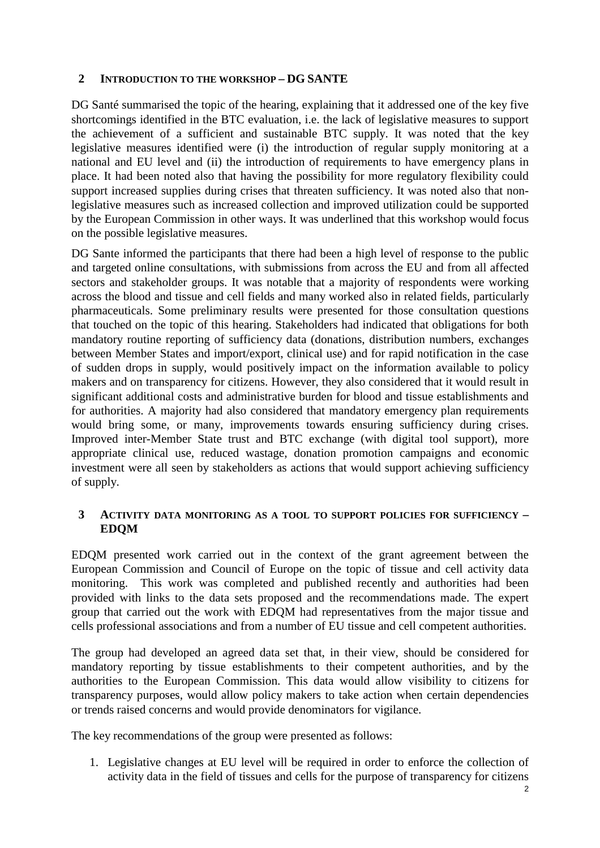### **2 INTRODUCTION TO THE WORKSHOP – DG SANTE**

DG Santé summarised the topic of the hearing, explaining that it addressed one of the key five shortcomings identified in the BTC evaluation, i.e. the lack of legislative measures to support the achievement of a sufficient and sustainable BTC supply. It was noted that the key legislative measures identified were (i) the introduction of regular supply monitoring at a national and EU level and (ii) the introduction of requirements to have emergency plans in place. It had been noted also that having the possibility for more regulatory flexibility could support increased supplies during crises that threaten sufficiency. It was noted also that nonlegislative measures such as increased collection and improved utilization could be supported by the European Commission in other ways. It was underlined that this workshop would focus on the possible legislative measures.

DG Sante informed the participants that there had been a high level of response to the public and targeted online consultations, with submissions from across the EU and from all affected sectors and stakeholder groups. It was notable that a majority of respondents were working across the blood and tissue and cell fields and many worked also in related fields, particularly pharmaceuticals. Some preliminary results were presented for those consultation questions that touched on the topic of this hearing. Stakeholders had indicated that obligations for both mandatory routine reporting of sufficiency data (donations, distribution numbers, exchanges between Member States and import/export, clinical use) and for rapid notification in the case of sudden drops in supply, would positively impact on the information available to policy makers and on transparency for citizens. However, they also considered that it would result in significant additional costs and administrative burden for blood and tissue establishments and for authorities. A majority had also considered that mandatory emergency plan requirements would bring some, or many, improvements towards ensuring sufficiency during crises. Improved inter-Member State trust and BTC exchange (with digital tool support), more appropriate clinical use, reduced wastage, donation promotion campaigns and economic investment were all seen by stakeholders as actions that would support achieving sufficiency of supply.

### **3 ACTIVITY DATA MONITORING AS A TOOL TO SUPPORT POLICIES FOR SUFFICIENCY – EDQM**

EDQM presented work carried out in the context of the grant agreement between the European Commission and Council of Europe on the topic of tissue and cell activity data monitoring. This work was completed and published recently and authorities had been provided with links to the data sets proposed and the recommendations made. The expert group that carried out the work with EDQM had representatives from the major tissue and cells professional associations and from a number of EU tissue and cell competent authorities.

The group had developed an agreed data set that, in their view, should be considered for mandatory reporting by tissue establishments to their competent authorities, and by the authorities to the European Commission. This data would allow visibility to citizens for transparency purposes, would allow policy makers to take action when certain dependencies or trends raised concerns and would provide denominators for vigilance.

The key recommendations of the group were presented as follows:

1. Legislative changes at EU level will be required in order to enforce the collection of activity data in the field of tissues and cells for the purpose of transparency for citizens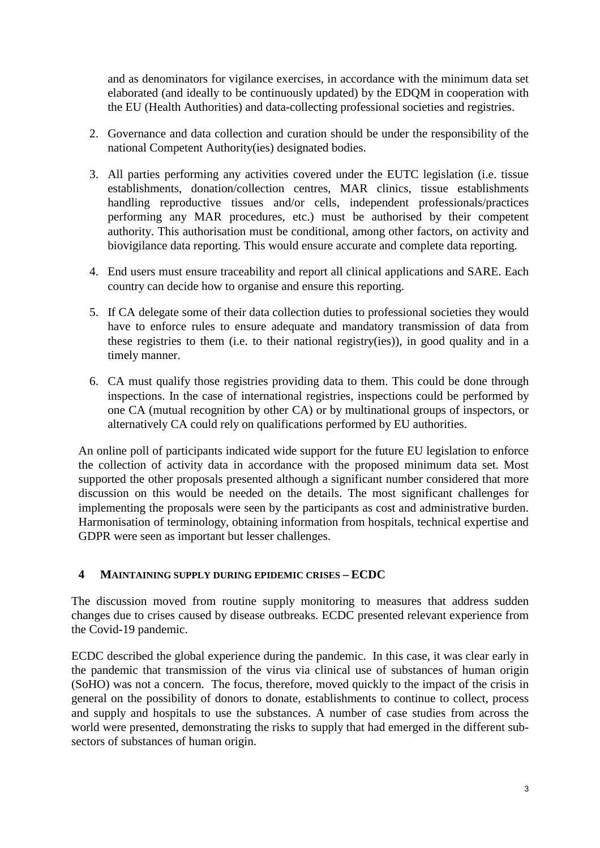and as denominators for vigilance exercises, in accordance with the minimum data set elaborated (and ideally to be continuously updated) by the EDQM in cooperation with the EU (Health Authorities) and data-collecting professional societies and registries.

- 2. Governance and data collection and curation should be under the responsibility of the national Competent Authority(ies) designated bodies.
- 3. All parties performing any activities covered under the EUTC legislation (i.e. tissue establishments, donation/collection centres, MAR clinics, tissue establishments handling reproductive tissues and/or cells, independent professionals/practices performing any MAR procedures, etc.) must be authorised by their competent authority. This authorisation must be conditional, among other factors, on activity and biovigilance data reporting. This would ensure accurate and complete data reporting.
- 4. End users must ensure traceability and report all clinical applications and SARE. Each country can decide how to organise and ensure this reporting.
- 5. If CA delegate some of their data collection duties to professional societies they would have to enforce rules to ensure adequate and mandatory transmission of data from these registries to them (i.e. to their national registry(ies)), in good quality and in a timely manner.
- 6. CA must qualify those registries providing data to them. This could be done through inspections. In the case of international registries, inspections could be performed by one CA (mutual recognition by other CA) or by multinational groups of inspectors, or alternatively CA could rely on qualifications performed by EU authorities.

An online poll of participants indicated wide support for the future EU legislation to enforce the collection of activity data in accordance with the proposed minimum data set. Most supported the other proposals presented although a significant number considered that more discussion on this would be needed on the details. The most significant challenges for implementing the proposals were seen by the participants as cost and administrative burden. Harmonisation of terminology, obtaining information from hospitals, technical expertise and GDPR were seen as important but lesser challenges.

### **4 MAINTAINING SUPPLY DURING EPIDEMIC CRISES – ECDC**

The discussion moved from routine supply monitoring to measures that address sudden changes due to crises caused by disease outbreaks. ECDC presented relevant experience from the Covid-19 pandemic.

ECDC described the global experience during the pandemic. In this case, it was clear early in the pandemic that transmission of the virus via clinical use of substances of human origin (SoHO) was not a concern. The focus, therefore, moved quickly to the impact of the crisis in general on the possibility of donors to donate, establishments to continue to collect, process and supply and hospitals to use the substances. A number of case studies from across the world were presented, demonstrating the risks to supply that had emerged in the different subsectors of substances of human origin.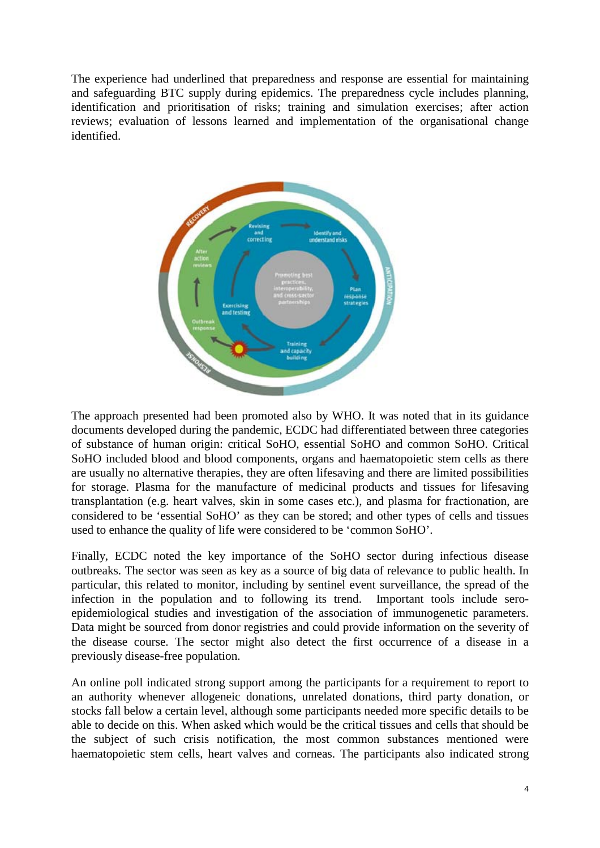The experience had underlined that preparedness and response are essential for maintaining and safeguarding BTC supply during epidemics. The preparedness cycle includes planning, identification and prioritisation of risks; training and simulation exercises; after action reviews; evaluation of lessons learned and implementation of the organisational change identified.



The approach presented had been promoted also by WHO. It was noted that in its guidance documents developed during the pandemic, ECDC had differentiated between three categories of substance of human origin: critical SoHO, essential SoHO and common SoHO. Critical SoHO included blood and blood components, organs and haematopoietic stem cells as there are usually no alternative therapies, they are often lifesaving and there are limited possibilities for storage. Plasma for the manufacture of medicinal products and tissues for lifesaving transplantation (e.g. heart valves, skin in some cases etc.), and plasma for fractionation, are considered to be 'essential SoHO' as they can be stored; and other types of cells and tissues used to enhance the quality of life were considered to be 'common SoHO'.

Finally, ECDC noted the key importance of the SoHO sector during infectious disease outbreaks. The sector was seen as key as a source of big data of relevance to public health. In particular, this related to monitor, including by sentinel event surveillance, the spread of the infection in the population and to following its trend. Important tools include seroepidemiological studies and investigation of the association of immunogenetic parameters. Data might be sourced from donor registries and could provide information on the severity of the disease course. The sector might also detect the first occurrence of a disease in a previously disease-free population.

An online poll indicated strong support among the participants for a requirement to report to an authority whenever allogeneic donations, unrelated donations, third party donation, or stocks fall below a certain level, although some participants needed more specific details to be able to decide on this. When asked which would be the critical tissues and cells that should be the subject of such crisis notification, the most common substances mentioned were haematopoietic stem cells, heart valves and corneas. The participants also indicated strong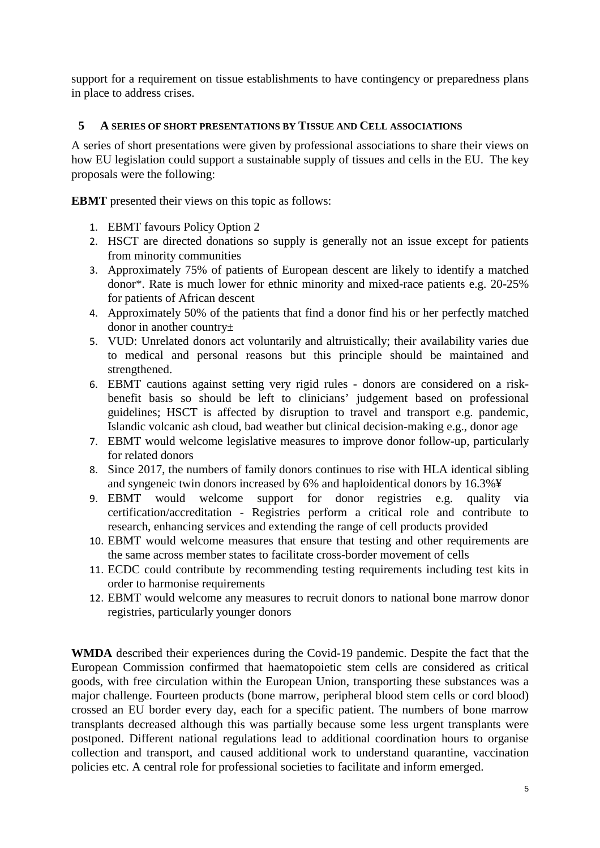support for a requirement on tissue establishments to have contingency or preparedness plans in place to address crises.

### **5 A SERIES OF SHORT PRESENTATIONS BY TISSUE AND CELL ASSOCIATIONS**

A series of short presentations were given by professional associations to share their views on how EU legislation could support a sustainable supply of tissues and cells in the EU. The key proposals were the following:

**EBMT** presented their views on this topic as follows:

- 1. EBMT favours Policy Option 2
- 2. HSCT are directed donations so supply is generally not an issue except for patients from minority communities
- 3. Approximately 75% of patients of European descent are likely to identify a matched donor\*. Rate is much lower for ethnic minority and mixed-race patients e.g. 20-25% for patients of African descent
- 4. Approximately 50% of the patients that find a donor find his or her perfectly matched donor in another country±
- 5. VUD: Unrelated donors act voluntarily and altruistically; their availability varies due to medical and personal reasons but this principle should be maintained and strengthened.
- 6. EBMT cautions against setting very rigid rules donors are considered on a riskbenefit basis so should be left to clinicians' judgement based on professional guidelines; HSCT is affected by disruption to travel and transport e.g. pandemic, Islandic volcanic ash cloud, bad weather but clinical decision-making e.g., donor age
- 7. EBMT would welcome legislative measures to improve donor follow-up, particularly for related donors
- 8. Since 2017, the numbers of family donors continues to rise with HLA identical sibling and syngeneic twin donors increased by 6% and haploidentical donors by 16.3%¥
- 9. EBMT would welcome support for donor registries e.g. quality via certification/accreditation - Registries perform a critical role and contribute to research, enhancing services and extending the range of cell products provided
- 10. EBMT would welcome measures that ensure that testing and other requirements are the same across member states to facilitate cross-border movement of cells
- 11. ECDC could contribute by recommending testing requirements including test kits in order to harmonise requirements
- 12. EBMT would welcome any measures to recruit donors to national bone marrow donor registries, particularly younger donors

**WMDA** described their experiences during the Covid-19 pandemic. Despite the fact that the European Commission confirmed that haematopoietic stem cells are considered as critical goods, with free circulation within the European Union, transporting these substances was a major challenge. Fourteen products (bone marrow, peripheral blood stem cells or cord blood) crossed an EU border every day, each for a specific patient. The numbers of bone marrow transplants decreased although this was partially because some less urgent transplants were postponed. Different national regulations lead to additional coordination hours to organise collection and transport, and caused additional work to understand quarantine, vaccination policies etc. A central role for professional societies to facilitate and inform emerged.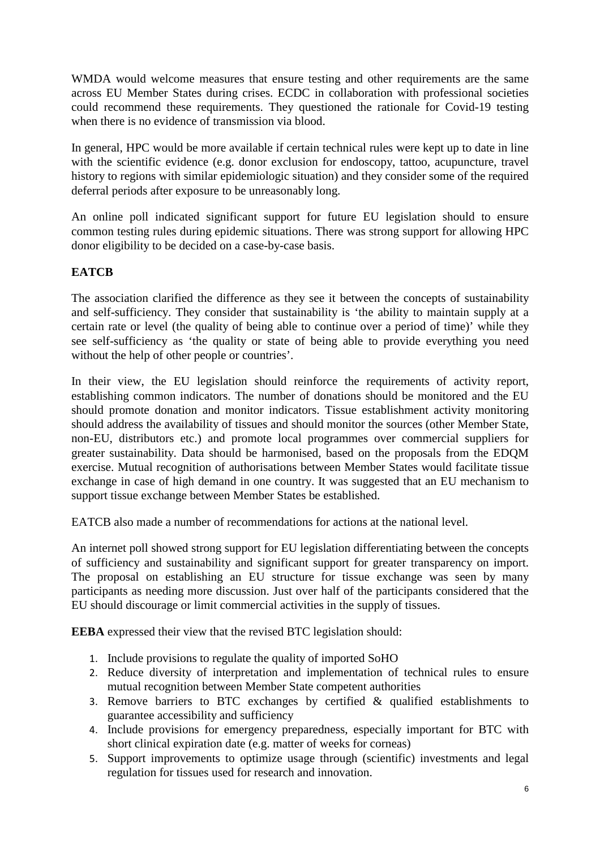WMDA would welcome measures that ensure testing and other requirements are the same across EU Member States during crises. ECDC in collaboration with professional societies could recommend these requirements. They questioned the rationale for Covid-19 testing when there is no evidence of transmission via blood.

In general, HPC would be more available if certain technical rules were kept up to date in line with the scientific evidence (e.g. donor exclusion for endoscopy, tattoo, acupuncture, travel history to regions with similar epidemiologic situation) and they consider some of the required deferral periods after exposure to be unreasonably long.

An online poll indicated significant support for future EU legislation should to ensure common testing rules during epidemic situations. There was strong support for allowing HPC donor eligibility to be decided on a case-by-case basis.

### **EATCB**

The association clarified the difference as they see it between the concepts of sustainability and self-sufficiency. They consider that sustainability is 'the ability to maintain supply at a certain rate or level (the quality of being able to continue over a period of time)' while they see self-sufficiency as 'the quality or state of being able to provide everything you need without the help of other people or countries'.

In their view, the EU legislation should reinforce the requirements of activity report, establishing common indicators. The number of donations should be monitored and the EU should promote donation and monitor indicators. Tissue establishment activity monitoring should address the availability of tissues and should monitor the sources (other Member State, non-EU, distributors etc.) and promote local programmes over commercial suppliers for greater sustainability. Data should be harmonised, based on the proposals from the EDQM exercise. Mutual recognition of authorisations between Member States would facilitate tissue exchange in case of high demand in one country. It was suggested that an EU mechanism to support tissue exchange between Member States be established.

EATCB also made a number of recommendations for actions at the national level.

An internet poll showed strong support for EU legislation differentiating between the concepts of sufficiency and sustainability and significant support for greater transparency on import. The proposal on establishing an EU structure for tissue exchange was seen by many participants as needing more discussion. Just over half of the participants considered that the EU should discourage or limit commercial activities in the supply of tissues.

**EEBA** expressed their view that the revised BTC legislation should:

- 1. Include provisions to regulate the quality of imported SoHO
- 2. Reduce diversity of interpretation and implementation of technical rules to ensure mutual recognition between Member State competent authorities
- 3. Remove barriers to BTC exchanges by certified  $\&$  qualified establishments to guarantee accessibility and sufficiency
- 4. Include provisions for emergency preparedness, especially important for BTC with short clinical expiration date (e.g. matter of weeks for corneas)
- 5. Support improvements to optimize usage through (scientific) investments and legal regulation for tissues used for research and innovation.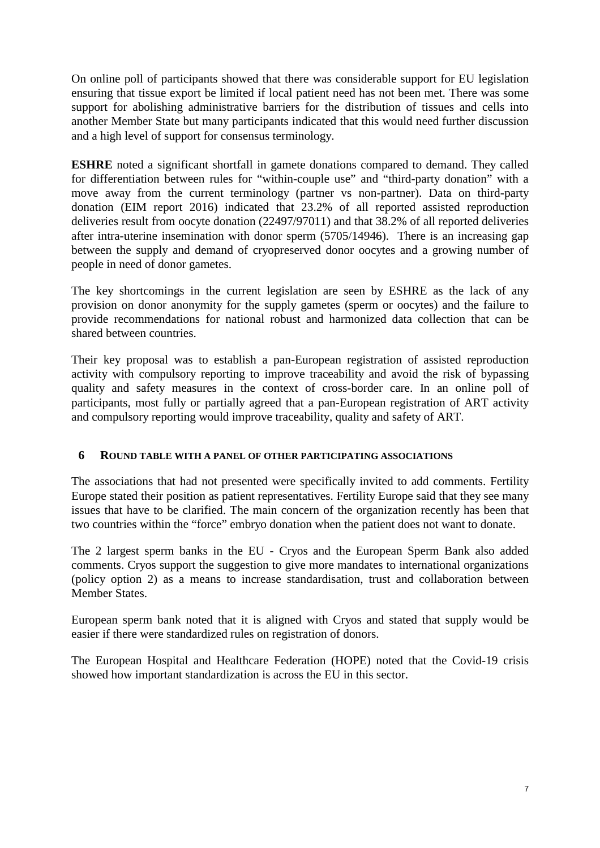On online poll of participants showed that there was considerable support for EU legislation ensuring that tissue export be limited if local patient need has not been met. There was some support for abolishing administrative barriers for the distribution of tissues and cells into another Member State but many participants indicated that this would need further discussion and a high level of support for consensus terminology.

**ESHRE** noted a significant shortfall in gamete donations compared to demand. They called for differentiation between rules for "within-couple use" and "third-party donation" with a move away from the current terminology (partner vs non-partner). Data on third-party donation (EIM report 2016) indicated that 23.2% of all reported assisted reproduction deliveries result from oocyte donation (22497/97011) and that 38.2% of all reported deliveries after intra-uterine insemination with donor sperm (5705/14946). There is an increasing gap between the supply and demand of cryopreserved donor oocytes and a growing number of people in need of donor gametes.

The key shortcomings in the current legislation are seen by ESHRE as the lack of any provision on donor anonymity for the supply gametes (sperm or oocytes) and the failure to provide recommendations for national robust and harmonized data collection that can be shared between countries.

Their key proposal was to establish a pan-European registration of assisted reproduction activity with compulsory reporting to improve traceability and avoid the risk of bypassing quality and safety measures in the context of cross-border care. In an online poll of participants, most fully or partially agreed that a pan-European registration of ART activity and compulsory reporting would improve traceability, quality and safety of ART.

### **6 ROUND TABLE WITH A PANEL OF OTHER PARTICIPATING ASSOCIATIONS**

The associations that had not presented were specifically invited to add comments. Fertility Europe stated their position as patient representatives. Fertility Europe said that they see many issues that have to be clarified. The main concern of the organization recently has been that two countries within the "force" embryo donation when the patient does not want to donate.

The 2 largest sperm banks in the EU - Cryos and the European Sperm Bank also added comments. Cryos support the suggestion to give more mandates to international organizations (policy option 2) as a means to increase standardisation, trust and collaboration between Member States.

European sperm bank noted that it is aligned with Cryos and stated that supply would be easier if there were standardized rules on registration of donors.

The European Hospital and Healthcare Federation (HOPE) noted that the Covid-19 crisis showed how important standardization is across the EU in this sector.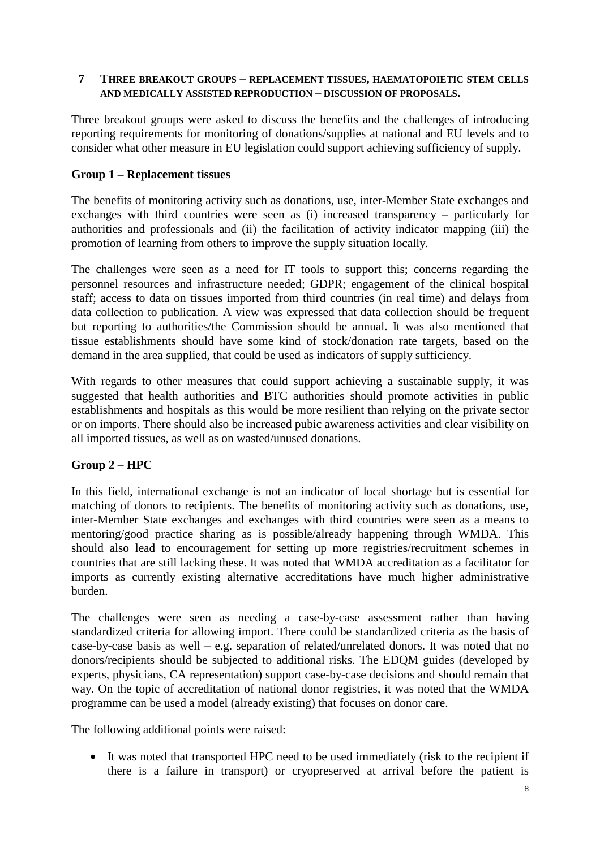### **7 THREE BREAKOUT GROUPS – REPLACEMENT TISSUES, HAEMATOPOIETIC STEM CELLS AND MEDICALLY ASSISTED REPRODUCTION – DISCUSSION OF PROPOSALS.**

Three breakout groups were asked to discuss the benefits and the challenges of introducing reporting requirements for monitoring of donations/supplies at national and EU levels and to consider what other measure in EU legislation could support achieving sufficiency of supply.

### **Group 1 – Replacement tissues**

The benefits of monitoring activity such as donations, use, inter-Member State exchanges and exchanges with third countries were seen as (i) increased transparency – particularly for authorities and professionals and (ii) the facilitation of activity indicator mapping (iii) the promotion of learning from others to improve the supply situation locally.

The challenges were seen as a need for IT tools to support this; concerns regarding the personnel resources and infrastructure needed; GDPR; engagement of the clinical hospital staff; access to data on tissues imported from third countries (in real time) and delays from data collection to publication. A view was expressed that data collection should be frequent but reporting to authorities/the Commission should be annual. It was also mentioned that tissue establishments should have some kind of stock/donation rate targets, based on the demand in the area supplied, that could be used as indicators of supply sufficiency.

With regards to other measures that could support achieving a sustainable supply, it was suggested that health authorities and BTC authorities should promote activities in public establishments and hospitals as this would be more resilient than relying on the private sector or on imports. There should also be increased pubic awareness activities and clear visibility on all imported tissues, as well as on wasted/unused donations.

### **Group 2 – HPC**

In this field, international exchange is not an indicator of local shortage but is essential for matching of donors to recipients. The benefits of monitoring activity such as donations, use, inter-Member State exchanges and exchanges with third countries were seen as a means to mentoring/good practice sharing as is possible/already happening through WMDA. This should also lead to encouragement for setting up more registries/recruitment schemes in countries that are still lacking these. It was noted that WMDA accreditation as a facilitator for imports as currently existing alternative accreditations have much higher administrative burden.

The challenges were seen as needing a case-by-case assessment rather than having standardized criteria for allowing import. There could be standardized criteria as the basis of case-by-case basis as well – e.g. separation of related/unrelated donors. It was noted that no donors/recipients should be subjected to additional risks. The EDQM guides (developed by experts, physicians, CA representation) support case-by-case decisions and should remain that way. On the topic of accreditation of national donor registries, it was noted that the WMDA programme can be used a model (already existing) that focuses on donor care.

The following additional points were raised:

• It was noted that transported HPC need to be used immediately (risk to the recipient if there is a failure in transport) or cryopreserved at arrival before the patient is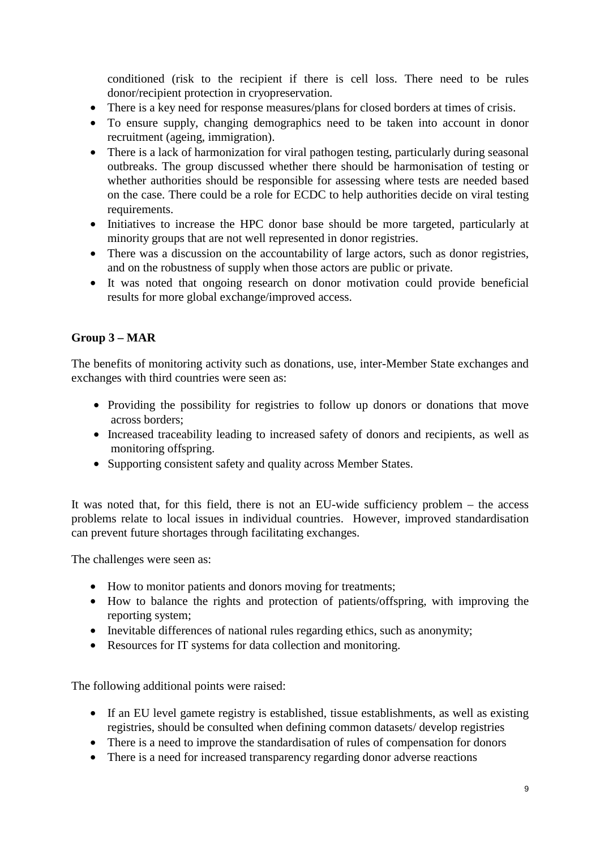conditioned (risk to the recipient if there is cell loss. There need to be rules donor/recipient protection in cryopreservation.

- There is a key need for response measures/plans for closed borders at times of crisis.
- To ensure supply, changing demographics need to be taken into account in donor recruitment (ageing, immigration).
- There is a lack of harmonization for viral pathogen testing, particularly during seasonal outbreaks. The group discussed whether there should be harmonisation of testing or whether authorities should be responsible for assessing where tests are needed based on the case. There could be a role for ECDC to help authorities decide on viral testing requirements.
- Initiatives to increase the HPC donor base should be more targeted, particularly at minority groups that are not well represented in donor registries.
- There was a discussion on the accountability of large actors, such as donor registries, and on the robustness of supply when those actors are public or private.
- It was noted that ongoing research on donor motivation could provide beneficial results for more global exchange/improved access.

## **Group 3 – MAR**

The benefits of monitoring activity such as donations, use, inter-Member State exchanges and exchanges with third countries were seen as:

- Providing the possibility for registries to follow up donors or donations that move across borders;
- Increased traceability leading to increased safety of donors and recipients, as well as monitoring offspring.
- Supporting consistent safety and quality across Member States.

It was noted that, for this field, there is not an EU-wide sufficiency problem – the access problems relate to local issues in individual countries. However, improved standardisation can prevent future shortages through facilitating exchanges.

The challenges were seen as:

- How to monitor patients and donors moving for treatments;
- How to balance the rights and protection of patients/offspring, with improving the reporting system;
- Inevitable differences of national rules regarding ethics, such as anonymity;
- Resources for IT systems for data collection and monitoring.

The following additional points were raised:

- If an EU level gamete registry is established, tissue establishments, as well as existing registries, should be consulted when defining common datasets/ develop registries
- There is a need to improve the standardisation of rules of compensation for donors
- There is a need for increased transparency regarding donor adverse reactions